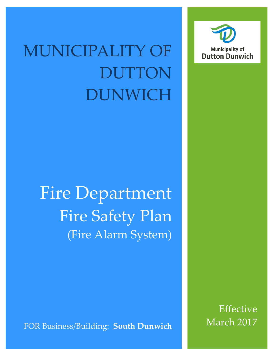## MUNICIPALITY OF DUTTON DUNWICH

Fire Department Fire Safety Plan (Fire Alarm System)

FOR Business/Building: **South Dunwich** 

Effective March 2017

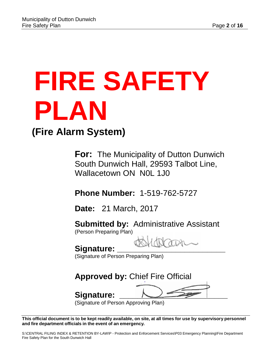# **FIRE SAFETY PLAN**

### **(Fire Alarm System)**

**For:** The Municipality of Dutton Dunwich South Dunwich Hall, 29593 Talbot Line, Wallacetown ON N0L 1J0

**Phone Number:** 1-519-762-5727

**Date:** 21 March, 2017

**Submitted by:** Administrative Assistant (Person Preparing Plan)

Signature:

(Signature of Person Preparing Plan)

**Approved by:** Chief Fire Official

Signature:



(Signature of Person Approving Plan)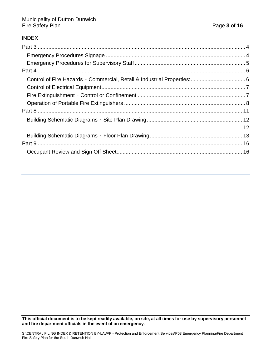#### [INDEX](file://duttondunwich.local/Company/CENTRAL%20FILING%20INDEX%20&%20RETENTION%20BY-LAW/P%20-%20Protection%20and%20Enforcement%20Services/P03%20Emergency%20Planning/Facility%20Sign%20Off%20Packages/South%20Dunwich%20Hall.docx#_Toc481407931)

<span id="page-2-0"></span>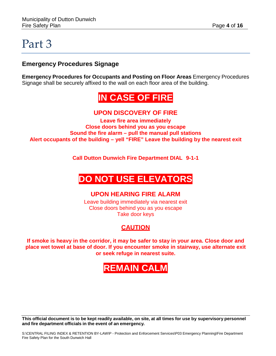### Part 3

### <span id="page-3-0"></span>**Emergency Procedures Signage**

**Emergency Procedures for Occupants and Posting on Floor Areas** Emergency Procedures Signage shall be securely affixed to the wall on each floor area of the building.

### **IN CASE OF FIRE**

### **UPON DISCOVERY OF FIRE**

**Leave fire area immediately Close doors behind you as you escape Sound the fire alarm – pull the manual pull stations Alert occupants of the building – yell "FIRE" Leave the building by the nearest exit**

**Call Dutton Dunwich Fire Department DIAL 9-1-1**

### **DO NOT USE ELEVATORS**

#### **UPON HEARING FIRE ALARM**

Leave building immediately via nearest exit Close doors behind you as you escape Take door keys

### **CAUTION**

**If smoke is heavy in the corridor, it may be safer to stay in your area. Close door and place wet towel at base of door. If you encounter smoke in stairway, use alternate exit or seek refuge in nearest suite.**

### **REMAIN CALM**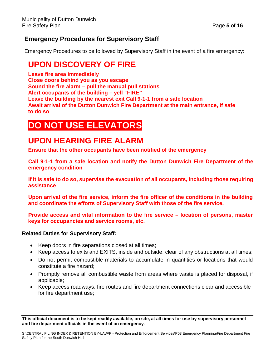### <span id="page-4-0"></span>**Emergency Procedures for Supervisory Staff**

Emergency Procedures to be followed by Supervisory Staff in the event of a fire emergency:

### **UPON DISCOVERY OF FIRE**

**Leave fire area immediately Close doors behind you as you escape Sound the fire alarm – pull the manual pull stations Alert occupants of the building – yell "FIRE" Leave the building by the nearest exit Call 9-1-1 from a safe location Await arrival of the Dutton Dunwich Fire Department at the main entrance, if safe to do so**

### **DO NOT USE ELEVATORS**

### **UPON HEARING FIRE ALARM**

**Ensure that the other occupants have been notified of the emergency**

**Call 9-1-1 from a safe location and notify the Dutton Dunwich Fire Department of the emergency condition**

**If it is safe to do so, supervise the evacuation of all occupants, including those requiring assistance**

**Upon arrival of the fire service, inform the fire officer of the conditions in the building and coordinate the efforts of Supervisory Staff with those of the fire service.**

**Provide access and vital information to the fire service – location of persons, master keys for occupancies and service rooms, etc.**

#### **Related Duties for Supervisory Staff:**

- Keep doors in fire separations closed at all times;
- Keep access to exits and EXITS, inside and outside, clear of any obstructions at all times;
- Do not permit combustible materials to accumulate in quantities or locations that would constitute a fire hazard;
- Promptly remove all combustible waste from areas where waste is placed for disposal, if applicable;
- Keep access roadways, fire routes and fire department connections clear and accessible for fire department use;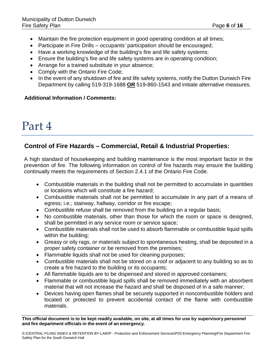- Maintain the fire protection equipment in good operating condition at all times;
- Participate in Fire Drills occupants' participation should be encouraged;
- Have a working knowledge of the building's fire and life safety systems;
- Ensure the building's fire and life safety systems are in operating condition;
- Arrange for a trained substitute in your absence;
- Comply with the Ontario Fire Code;
- In the event of any shutdown of fire and life safety systems, notify the Dutton Dunwich Fire Department by calling 519-319-1688 **OR** 519-860-1543 and initiate alternative measures.

#### **Additional Information / Comments:**

### <span id="page-5-0"></span>Part 4

### <span id="page-5-1"></span>**Control of Fire Hazards – Commercial, Retail & Industrial Properties:**

A high standard of housekeeping and building maintenance is the most important factor in the prevention of fire. The following information on control of fire hazards may ensure the building continually meets the requirements of Section 2.4.1 of the Ontario Fire Code.

- Combustible materials in the building shall not be permitted to accumulate in quantities or locations which will constitute a fire hazard;
- Combustible materials shall not be permitted to accumulate in any part of a means of egress; i.e.; stairway, hallway, corridor or fire escape;
- Combustible refuse shall be removed from the building on a regular basis;
- No combustible materials, other than those for which the room or space is designed, shall be permitted in any service room or service space;
- Combustible materials shall not be used to absorb flammable or combustible liquid spills within the building;
- Greasy or oily rags, or materials subject to spontaneous heating, shall be deposited in a proper safety container or be removed from the premises;
- Flammable liquids shall not be used for cleaning purposes;
- Combustible materials shall not be stored on a roof or adjacent to any building so as to create a fire hazard to the building or its occupants;
- All flammable liquids are to be dispensed and stored in approved containers;
- Flammable or combustible liquid spills shall be removed immediately with an absorbent material that will not increase the hazard and shall be disposed of in a safe manner;
- Devices having open flames shall be securely supported in noncombustible holders and located or protected to prevent accidental contact of the flame with combustible materials.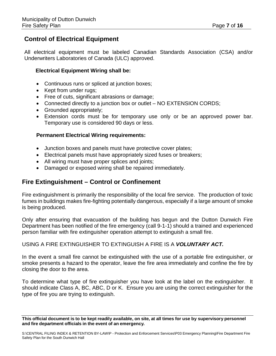### <span id="page-6-0"></span>**Control of Electrical Equipment**

All electrical equipment must be labeled Canadian Standards Association (CSA) and/or Underwriters Laboratories of Canada (ULC) approved.

#### **Electrical Equipment Wiring shall be:**

- Continuous runs or spliced at junction boxes;
- Kept from under rugs;
- Free of cuts, significant abrasions or damage;
- Connected directly to a junction box or outlet NO EXTENSION CORDS;
- Grounded appropriately;
- Extension cords must be for temporary use only or be an approved power bar. Temporary use is considered 90 days or less.

#### **Permanent Electrical Wiring requirements:**

- Junction boxes and panels must have protective cover plates;
- Electrical panels must have appropriately sized fuses or breakers;
- All wiring must have proper splices and joints;
- Damaged or exposed wiring shall be repaired immediately.

### <span id="page-6-1"></span>**Fire Extinguishment – Control or Confinement**

Fire extinguishment is primarily the responsibility of the local fire service. The production of toxic fumes in buildings makes fire-fighting potentially dangerous, especially if a large amount of smoke is being produced.

Only after ensuring that evacuation of the building has begun and the Dutton Dunwich Fire Department has been notified of the fire emergency (call 9-1-1) should a trained and experienced person familiar with fire extinguisher operation attempt to extinguish a small fire.

#### USING A FIRE EXTINGUISHER TO EXTINGUISH A FIRE IS A *VOLUNTARY ACT.*

In the event a small fire cannot be extinguished with the use of a portable fire extinguisher, or smoke presents a hazard to the operator, leave the fire area immediately and confine the fire by closing the door to the area.

To determine what type of fire extinguisher you have look at the label on the extinguisher. It should indicate Class A, BC, ABC, D or K. Ensure you are using the correct extinguisher for the type of fire you are trying to extinguish.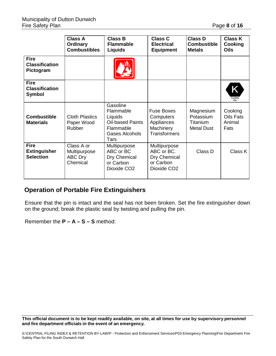|                                                        | <b>Class A</b><br>Ordinary<br><b>Combustibles</b>        | <b>Class B</b><br><b>Flammable</b><br><b>Liquids</b>                                               | <b>Class C</b><br><b>Electrical</b><br><b>Equipment</b>                            | <b>Class D</b><br><b>Combustible</b><br><b>Metals</b>   | <b>Class K</b><br>Cooking<br>Oils             |
|--------------------------------------------------------|----------------------------------------------------------|----------------------------------------------------------------------------------------------------|------------------------------------------------------------------------------------|---------------------------------------------------------|-----------------------------------------------|
| <b>Fire</b><br><b>Classification</b><br>Pictogram      |                                                          |                                                                                                    |                                                                                    |                                                         |                                               |
| <b>Fire</b><br><b>Classification</b><br><b>Symbol</b>  |                                                          |                                                                                                    |                                                                                    |                                                         | Κ<br>Cooking<br>Oils                          |
| <b>Combustible</b><br><b>Materials</b>                 | <b>Cloth Plastics</b><br>Paper Wood<br><b>Rubber</b>     | Gasoline<br>Flammable<br>Liquids<br><b>Oil-based Paints</b><br>Flammable<br>Gases Alcohols<br>Tars | <b>Fuse Boxes</b><br>Computers<br>Appliances<br>Machinery<br><b>Transformers</b>   | Magnesium<br>Potassium<br>Titanium<br><b>Metal Dust</b> | Cooking<br><b>Oils Fats</b><br>Animal<br>Fats |
| <b>Fire</b><br><b>Extinguisher</b><br><b>Selection</b> | Class A or<br>Multipurpose<br><b>ABC Dry</b><br>Chemical | Multipurpose<br>ABC or BC<br>Dry Chemical<br>or Carbon<br>Dioxide CO <sub>2</sub>                  | Multipurpose<br>ABC or BC.<br>Dry Chemical<br>or Carbon<br>Dioxide CO <sub>2</sub> | Class D                                                 | Class K                                       |

#### <span id="page-7-0"></span>**Operation of Portable Fire Extinguishers**

Ensure that the pin is intact and the seal has not been broken. Set the fire extinguisher down on the ground; break the plastic seal by twisting and pulling the pin.

Remember the **P – A – S – S** method: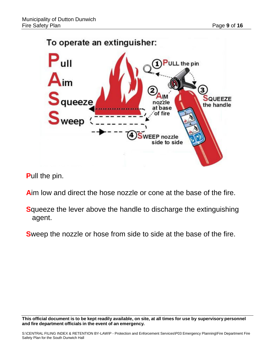

**P**ull the pin.

**A**im low and direct the hose nozzle or cone at the base of the fire.

**S**queeze the lever above the handle to discharge the extinguishing agent.

**S**weep the nozzle or hose from side to side at the base of the fire.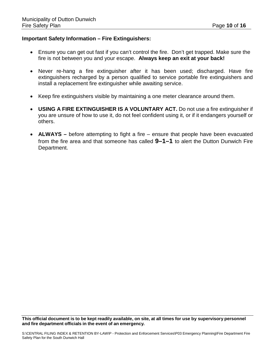#### **Important Safety Information – Fire Extinguishers:**

- Ensure you can get out fast if you can't control the fire. Don't get trapped. Make sure the fire is not between you and your escape. **Always keep an exit at your back!**
- Never re-hang a fire extinguisher after it has been used; discharged. Have fire extinguishers recharged by a person qualified to service portable fire extinguishers and install a replacement fire extinguisher while awaiting service.
- Keep fire extinguishers visible by maintaining a one meter clearance around them.
- **USING A FIRE EXTINGUISHER IS A VOLUNTARY ACT.** Do not use a fire extinguisher if you are unsure of how to use it, do not feel confident using it, or if it endangers yourself or others.
- **ALWAYS –** before attempting to fight a fire ensure that people have been evacuated from the fire area and that someone has called **9–1–1** to alert the Dutton Dunwich Fire Department.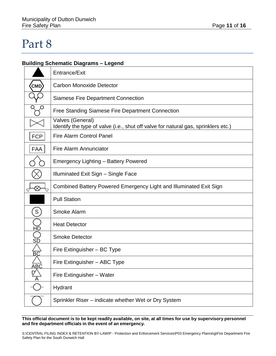### <span id="page-10-0"></span>Part 8

### **Building Schematic Diagrams – Legend**

|                 | Entrance/Exit                                                                                          |
|-----------------|--------------------------------------------------------------------------------------------------------|
| <b>CMD</b>      | <b>Carbon Monoxide Detector</b>                                                                        |
|                 | <b>Siamese Fire Department Connection</b>                                                              |
|                 | <b>Free Standing Siamese Fire Department Connection</b>                                                |
|                 | Valves (General)<br>Identify the type of valve (i.e., shut off valve for natural gas, sprinklers etc.) |
| <b>FCP</b>      | <b>Fire Alarm Control Panel</b>                                                                        |
| <b>FAA</b>      | Fire Alarm Annunciator                                                                                 |
|                 | <b>Emergency Lighting - Battery Powered</b>                                                            |
|                 | Illuminated Exit Sign - Single Face                                                                    |
| $\otimes$       | Combined Battery Powered Emergency Light and Illuminated Exit Sign                                     |
|                 | <b>Pull Station</b>                                                                                    |
| S               | <b>Smoke Alarm</b>                                                                                     |
| НĎ              | <b>Heat Detector</b>                                                                                   |
| SĎ              | <b>Smoke Detector</b>                                                                                  |
| $\overline{BC}$ | Fire Extinguisher - BC Type                                                                            |
| ABC             | Fire Extinguisher - ABC Type                                                                           |
|                 | Fire Extinguisher - Water                                                                              |
|                 | Hydrant                                                                                                |
|                 | Sprinkler Riser – indicate whether Wet or Dry System                                                   |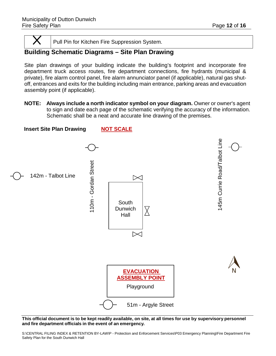<span id="page-11-1"></span>

Pull Pin for Kitchen Fire Suppression System.

### <span id="page-11-0"></span>**Building Schematic Diagrams – Site Plan Drawing**

Site plan drawings of your building indicate the building's footprint and incorporate fire department truck access routes, fire department connections, fire hydrants (municipal & private), fire alarm control panel, fire alarm annunciator panel (if applicable), natural gas shutoff, entrances and exits for the building including main entrance, parking areas and evacuation assembly point (if applicable).

**NOTE: Always include a north indicator symbol on your diagram.** Owner or owner's agent to sign and date each page of the schematic verifying the accuracy of the information. Schematic shall be a neat and accurate line drawing of the premises.



This official document is to be kept readily available, on site, at all times for use by supervisory personnel **and fire department officials in the event of an emergency.**

S:\CENTRAL FILING INDEX & RETENTION BY-LAW\P - Protection and Enforcement Services\P03 Emergency Planning\Fire Department Fire Safety Plan for the South Dunwich Hall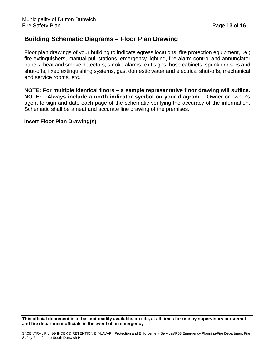### <span id="page-12-0"></span>**Building Schematic Diagrams – Floor Plan Drawing**

Floor plan drawings of your building to indicate egress locations, fire protection equipment, i.e.; fire extinguishers, manual pull stations, emergency lighting, fire alarm control and annunciator panels, heat and smoke detectors, smoke alarms, exit signs, hose cabinets, sprinkler risers and shut-offs, fixed extinguishing systems, gas, domestic water and electrical shut-offs, mechanical and service rooms, etc.

**NOTE: For multiple identical floors – a sample representative floor drawing will suffice. NOTE: Always include a north indicator symbol on your diagram.** Owner or owner's agent to sign and date each page of the schematic verifying the accuracy of the information. Schematic shall be a neat and accurate line drawing of the premises.

**Insert Floor Plan Drawing(s)**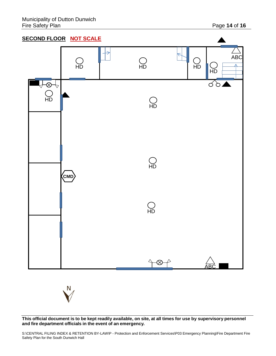

This official document is to be kept readily available, on site, at all times for use by supervisory personnel **and fire department officials in the event of an emergency.**

S:\CENTRAL FILING INDEX & RETENTION BY-LAW\P - Protection and Enforcement Services\P03 Emergency Planning\Fire Department Fire Safety Plan for the South Dunwich Hall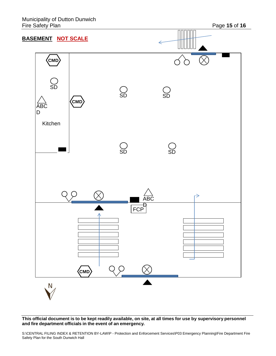

This official document is to be kept readily available, on site, at all times for use by supervisory personnel **and fire department officials in the event of an emergency.**

S:\CENTRAL FILING INDEX & RETENTION BY-LAW\P - Protection and Enforcement Services\P03 Emergency Planning\Fire Department Fire Safety Plan for the South Dunwich Hall